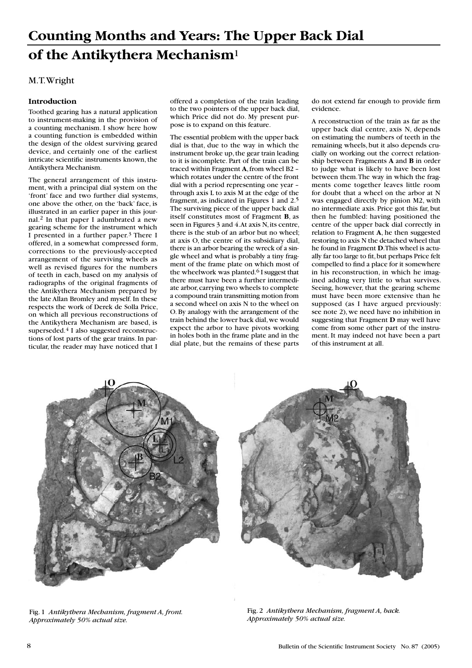# M.T. Wright

### **Introduction**

Toothed gearing has a natural application to instrument-making in the provision of a counting mechanism. I show here how a counting function is embedded within the design of the oldest surviving geared device, and certainly one of the earliest intricate scientific instruments known, the Antikythera Mechanism.

The general arrangement of this instrument, with a principal dial system on the 'front' face and two further dial systems, one above the other, on the 'back' face, is illustrated in an earlier paper in this journal.2 In that paper I adumbrated a new gearing scheme for the instrument which I presented in a further paper.3 There I offered, in a somewhat compressed form, corrections to the previously-accepted arrangement of the surviving wheels as well as revised figures for the numbers of teeth in each, based on my analysis of radiographs of the original fragments of the Antikythera Mechanism prepared by the late Allan Bromley and myself. In these respects the work of Derek de Solla Price, on which all previous reconstructions of the Antikythera Mechanism are based, is superseded.<sup>4</sup> I also suggested reconstructions of lost parts of the gear trains. In particular, the reader may have noticed that I offered a completion of the train leading to the two pointers of the upper back dial, which Price did not do. My present purpose is to expand on this feature.

The essential problem with the upper back dial is that, due to the way in which the instrument broke up, the gear train leading to it is incomplete. Part of the train can be traced within Fragment **A**, from wheel B2 – which rotates under the centre of the front dial with a period representing one year – through axis L to axis M at the edge of the fragment, as indicated in Figures 1 and 2.5 The surviving piece of the upper back dial itself constitutes most of Fragment **B**, as seen in Figures 3 and 4. At axis N, its centre, there is the stub of an arbor but no wheel; at axis O, the centre of its subsidiary dial, there is an arbor bearing the wreck of a single wheel and what is probably a tiny fragment of the frame plate on which most of the wheelwork was planted.<sup>6</sup> I suggest that there must have been a further intermediate arbor, carrying two wheels to complete a compound train transmitting motion from a second wheel on axis N to the wheel on O. By analogy with the arrangement of the train behind the lower back dial, we would expect the arbor to have pivots working in holes both in the frame plate and in the dial plate, but the remains of these parts do not extend far enough to provide firm evidence.

A reconstruction of the train as far as the upper back dial centre, axis N, depends on estimating the numbers of teeth in the remaining wheels, but it also depends crucially on working out the correct relationship between Fragments **A** and **B** in order to judge what is likely to have been lost between them. The way in which the fragments come together leaves little room for doubt that a wheel on the arbor at N was engaged directly by pinion M2, with no intermediate axis. Price got this far, but then he fumbled: having positioned the centre of the upper back dial correctly in relation to Fragment **A**, he then suggested restoring to axis N the detached wheel that he found in Fragment **D**. This wheel is actually far too large to fit, but perhaps Price felt compelled to find a place for it somewhere in his reconstruction, in which he imagined adding very little to what survives. Seeing, however, that the gearing scheme must have been more extensive than he supposed (as I have argued previously: see note 2), we need have no inhibition in suggesting that Fragment **D** may well have come from some other part of the instrument. It may indeed not have been a part of this instrument at all.





Fig. 1 *Antikythera Mechanism, fragment A, front. Approximately 50% actual size.*

Fig. 2 *Antikythera Mechanism, fragment A, back. Approximately 50% actual size.*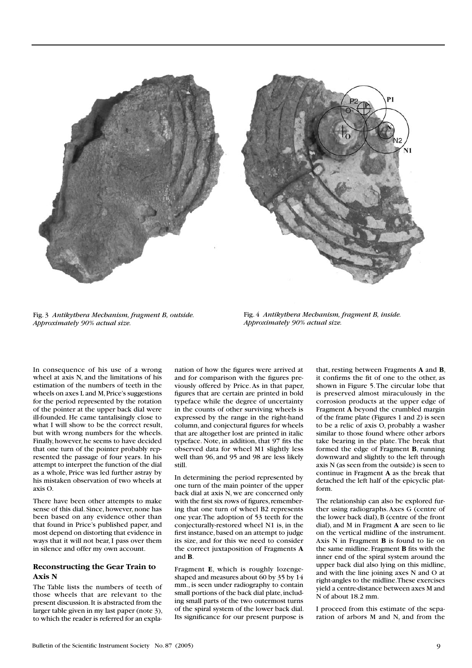

Fig. 3 *Antikythera Mechanism, fragment B, outside. Approximately 90% actual size.*

Fig. 4 *Antikythera Mechanism, fragment B, inside. Approximately 90% actual size.*

In consequence of his use of a wrong wheel at axis N, and the limitations of his estimation of the numbers of teeth in the wheels on axes L and M, Price's suggestions for the period represented by the rotation of the pointer at the upper back dial were ill-founded. He came tantalisingly close to what I will show to be the correct result, but with wrong numbers for the wheels. Finally, however, he seems to have decided that one turn of the pointer probably represented the passage of four years. In his attempt to interpret the function of the dial as a whole, Price was led further astray by his mistaken observation of two wheels at axis O.

There have been other attempts to make sense of this dial. Since, however, none has been based on any evidence other than that found in Price's published paper, and most depend on distorting that evidence in ways that it will not bear, I pass over them in silence and offer my own account.

### **Reconstructing the Gear Train to Axis N**

The Table lists the numbers of teeth of those wheels that are relevant to the present discussion. It is abstracted from the larger table given in my last paper (note 3), to which the reader is referred for an explanation of how the figures were arrived at and for comparison with the figures previously offered by Price. As in that paper, figures that are certain are printed in bold typeface while the degree of uncertainty in the counts of other surviving wheels is expressed by the range in the right-hand column, and conjectural figures for wheels that are altogether lost are printed in italic typeface. Note, in addition, that 97 fits the observed data for wheel M1 slightly less well than 96, and 95 and 98 are less likely still.

In determining the period represented by one turn of the main pointer of the upper back dial at axis N, we are concerned only with the first six rows of figures, remembering that one turn of wheel B2 represents one year. The adoption of 53 teeth for the conjecturally-restored wheel N1 is, in the first instance, based on an attempt to judge its size, and for this we need to consider the correct juxtaposition of Fragments **A** and **B**.

Fragment **E**, which is roughly lozengeshaped and measures about 60 by 35 by 14 mm., is seen under radiography to contain small portions of the back dial plate, including small parts of the two outermost turns of the spiral system of the lower back dial. Its significance for our present purpose is

that, resting between Fragments **A** and **B**, it confirms the fit of one to the other, as shown in Figure 5. The circular lobe that is preserved almost miraculously in the corrosion products at the upper edge of Fragment **A** beyond the crumbled margin of the frame plate (Figures 1 and 2) is seen to be a relic of axis O, probably a washer similar to those found where other arbors take bearing in the plate. The break that formed the edge of Fragment **B**, running downward and slightly to the left through axis N (as seen from the outside) is seen to continue in Fragment **A** as the break that detached the left half of the epicyclic platform.

The relationship can also be explored further using radiographs. Axes G (centre of the lower back dial), B (centre of the front dial), and M in Fragment **A** are seen to lie on the vertical midline of the instrument. Axis N in Fragment **B** is found to lie on the same midline. Fragment **B** fits with the inner end of the spiral system around the upper back dial also lying on this midline, and with the line joining axes N and O at right-angles to the midline. These exercises yield a centre-distance between axes M and N of about 18.2 mm.

I proceed from this estimate of the separation of arbors M and N, and from the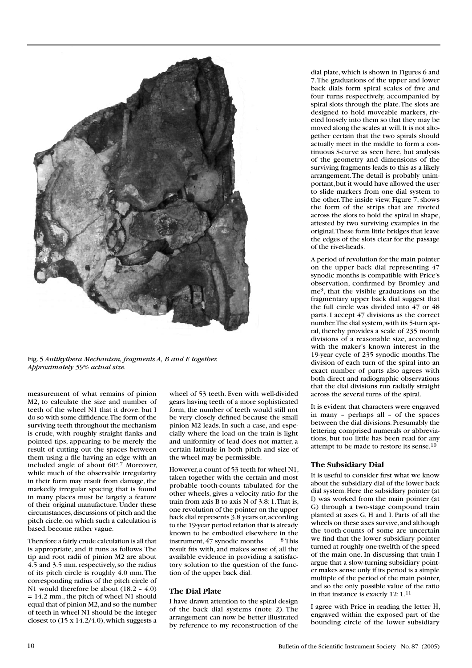

Fig. 5 *Antikythera Mechanism, fragments A, B and E together. Approximately 59% actual size.*

measurement of what remains of pinion M2, to calculate the size and number of teeth of the wheel N1 that it drove; but I do so with some diffidence. The form of the surviving teeth throughout the mechanism is crude, with roughly straight flanks and pointed tips, appearing to be merely the result of cutting out the spaces between them using a file having an edge with an included angle of about 60º.7 Moreover, while much of the observable irregularity in their form may result from damage, the markedly irregular spacing that is found in many places must be largely a feature of their original manufacture. Under these circumstances, discussions of pitch and the pitch circle, on which such a calculation is based, become rather vague.

Therefore a fairly crude calculation is all that is appropriate, and it runs as follows. The tip and root radii of pinion M2 are about 4.5 and 3.5 mm. respectively, so the radius of its pitch circle is roughly 4.0 mm. The corresponding radius of the pitch circle of N1 would therefore be about (18.2 – 4.0) = 14.2 mm., the pitch of wheel N1 should equal that of pinion M2, and so the number of teeth in wheel N1 should be the integer closest to  $(15 \times 14.2/4.0)$ , which suggests a

wheel of 53 teeth. Even with well-divided gears having teeth of a more sophisticated form, the number of teeth would still not be very closely defined because the small pinion M2 leads. In such a case, and especially where the load on the train is light and uniformity of lead does not matter, a certain latitude in both pitch and size of the wheel may be permissible.

However, a count of 53 teeth for wheel N1, taken together with the certain and most probable tooth-counts tabulated for the other wheels, gives a velocity ratio for the train from axis B to axis N of 3.8: 1. That is, one revolution of the pointer on the upper back dial represents 3.8 years or, according to the 19-year period relation that is already known to be embodied elsewhere in the instrument,  $47$  synodic months.  $8$  This result fits with, and makes sense of, all the available evidence in providing a satisfactory solution to the question of the function of the upper back dial.

### **The Dial Plate**

I have drawn attention to the spiral design of the back dial systems (note 2). The arrangement can now be better illustrated by reference to my reconstruction of the

dial plate, which is shown in Figures 6 and 7. The graduations of the upper and lower back dials form spiral scales of five and four turns respectively, accompanied by spiral slots through the plate. The slots are designed to hold moveable markers, riveted loosely into them so that they may be moved along the scales at will. It is not altogether certain that the two spirals should actually meet in the middle to form a continuous S-curve as seen here, but analysis of the geometry and dimensions of the surviving fragments leads to this as a likely arrangement. The detail is probably unimportant, but it would have allowed the user to slide markers from one dial system to the other. The inside view, Figure 7, shows the form of the strips that are riveted across the slots to hold the spiral in shape, attested by two surviving examples in the original. These form little bridges that leave the edges of the slots clear for the passage of the rivet-heads.

A period of revolution for the main pointer on the upper back dial representing 47 synodic months is compatible with Price's observation, confirmed by Bromley and me9, that the visible graduations on the fragmentary upper back dial suggest that the full circle was divided into 47 or 48 parts. I accept 47 divisions as the correct number. The dial system, with its 5-turn spiral, thereby provides a scale of 235 month divisions of a reasonable size, according with the maker's known interest in the 19-year cycle of 235 synodic months. The division of each turn of the spiral into an exact number of parts also agrees with both direct and radiographic observations that the dial divisions run radially straight across the several turns of the spiral.

It is evident that characters were engraved in many – perhaps all – of the spaces between the dial divisions. Presumably the lettering comprised numerals or abbreviations, but too little has been read for any attempt to be made to restore its sense.<sup>10</sup>

### **The Subsidiary Dial**

It is useful to consider first what we know about the subsidiary dial of the lower back dial system. Here the subsidiary pointer (at I) was worked from the main pointer (at G) through a two-stage compound train planted at axes G, H and I. Parts of all the wheels on these axes survive, and although the tooth-counts of some are uncertain we find that the lower subsidiary pointer turned at roughly one-twelfth of the speed of the main one. In discussing that train I argue that a slow-turning subsidiary pointer makes sense only if its period is a simple multiple of the period of the main pointer, and so the only possible value of the ratio in that instance is exactly 12: 1.11

I agree with Price in reading the letter H, engraved within the exposed part of the bounding circle of the lower subsidiary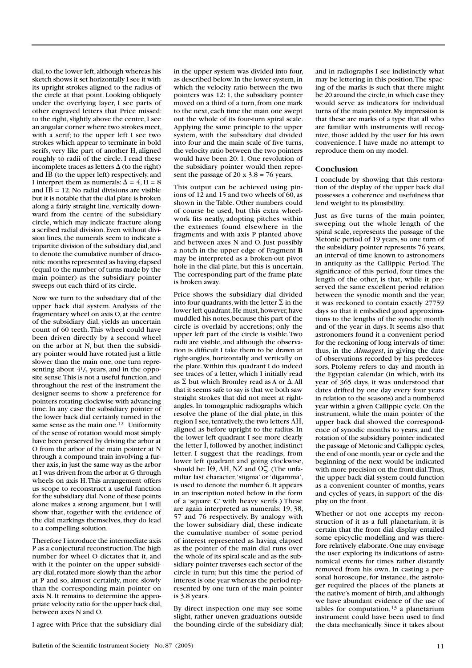dial, to the lower left, although whereas his sketch shows it set horizontally I see it with its upright strokes aligned to the radius of the circle at that point. Looking obliquely under the overlying layer, I see parts of other engraved letters that Price missed: to the right, slightly above the centre, I see an angular corner where two strokes meet, with a serif; to the upper left I see two strokes which appear to terminate in bold serifs, very like part of another H, aligned roughly to radii of the circle. I read these incomplete traces as letters  $\Delta$  (to the right) and IB (to the upper left) respectively, and I interpret them as numerals:  $\Delta = 4$ , H = 8 and  $IB = 12$ . No radial divisions are visible but it is notable that the dial plate is broken along a fairly straight line, vertically downward from the centre of the subsidiary circle, which may indicate fracture along a scribed radial division. Even without division lines, the numerals seem to indicate a tripartite division of the subsidiary dial, and to denote the cumulative number of draconitic months represented as having elapsed (equal to the number of turns made by the main pointer) as the subsidiary pointer sweeps out each third of its circle.

Now we turn to the subsidiary dial of the upper back dial system. Analysis of the fragmentary wheel on axis O, at the centre of the subsidiary dial, yields an uncertain count of 60 teeth. This wheel could have been driven directly by a second wheel on the arbor at N, but then the subsidiary pointer would have rotated just a little slower than the main one, one turn representing about  $4\frac{1}{2}$  years, and in the opposite sense. This is not a useful function, and throughout the rest of the instrument the designer seems to show a preference for pointers rotating clockwise with advancing time. In any case the subsidiary pointer of the lower back dial certainly turned in the same sense as the main one.<sup>12</sup> Uniformity of the sense of rotation would most simply have been preserved by driving the arbor at O from the arbor of the main pointer at N through a compound train involving a further axis, in just the same way as the arbor at I was driven from the arbor at G through wheels on axis H. This arrangement offers us scope to reconstruct a useful function for the subsidiary dial. None of these points alone makes a strong argument, but I will show that, together with the evidence of the dial markings themselves, they do lead to a compelling solution.

Therefore I introduce the intermediate axis P as a conjectural reconstruction. The high number for wheel O dictates that it, and with it the pointer on the upper subsidiary dial, rotated more slowly than the arbor at P and so, almost certainly, more slowly than the corresponding main pointer on axis N. It remains to determine the appropriate velocity ratio for the upper back dial, between axes N and O.

I agree with Price that the subsidiary dial

in the upper system was divided into four, as described below. In the lower system, in which the velocity ratio between the two pointers was 12: 1, the subsidiary pointer moved on a third of a turn, from one mark to the next, each time the main one swept out the whole of its four-turn spiral scale. Applying the same principle to the upper system, with the subsidiary dial divided into four and the main scale of five turns, the velocity ratio between the two pointers would have been 20: 1. One revolution of the subsidiary pointer would then represent the passage of  $20 \times 3.8 = 76$  years.

This output can be achieved using pinions of 12 and 15 and two wheels of 60, as shown in the Table. Other numbers could of course be used, but this extra wheelwork fits neatly, adopting pitches within the extremes found elsewhere in the fragments and with axis P planted above and between axes N and O. Just possibly a notch in the upper edge of Fragment **B** may be interpreted as a broken-out pivot hole in the dial plate, but this is uncertain. The corresponding part of the frame plate is broken away.

Price shows the subsidiary dial divided into four quadrants, with the letter  $\Sigma$  in the lower left quadrant. He must, however, have muddled his notes, because this part of the circle is overlaid by accretions; only the upper left part of the circle is visible. Two radii are visible, and although the observation is difficult I take them to be drawn at right-angles, horizontally and vertically on the plate. Within this quadrant I do indeed see traces of a letter, which I initially read as  $\Sigma$  but which Bromley read as A or  $\Delta$ . All that it seems safe to say is that we both saw straight strokes that did not meet at rightangles. In tomographic radiographs which resolve the plane of the dial plate, in this region I see, tentatively, the two letters  $\Lambda$ H, aligned as before upright to the radius. In the lower left quadrant I see more clearly the letter I, followed by another, indistinct letter. I suggest that the readings, from lower left quadrant and going clockwise, should be:  $I\Theta$ ,  $\Delta H$ , NZ and O $\zeta$ . (The unfamiliar last character, 'stigma' or 'digamma', is used to denote the number 6. It appears in an inscription noted below in the form of a 'square **C**' with heavy serifs.) These are again interpreted as numerals: 19, 38, 57 and 76 respectively. By analogy with the lower subsidiary dial, these indicate the cumulative number of some period of interest represented as having elapsed as the pointer of the main dial runs over the whole of its spiral scale and as the subsidiary pointer traverses each sector of the circle in turn; but this time the period of interest is one year whereas the period represented by one turn of the main pointer is 3.8 years.

By direct inspection one may see some slight, rather uneven graduations outside the bounding circle of the subsidiary dial; and in radiographs I see indistinctly what may be lettering in this position. The spacing of the marks is such that there might be 20 around the circle, in which case they would serve as indicators for individual turns of the main pointer. My impression is that these are marks of a type that all who are familiar with instruments will recognize, those added by the user for his own convenience. I have made no attempt to reproduce them on my model.

### **Conclusion**

I conclude by showing that this restoration of the display of the upper back dial possesses a coherence and usefulness that lend weight to its plausibility.

Just as five turns of the main pointer, sweeping out the whole length of the spiral scale, represents the passage of the Metonic period of 19 years, so one turn of the subsidiary pointer represents 76 years, an interval of time known to astronomers in antiquity as the Callippic Period. The significance of this period, four times the length of the other, is that, while it preserved the same excellent period relation between the synodic month and the year, it was reckoned to contain exactly 27759 days so that it embodied good approximations to the lengths of the synodic month and of the year in days. It seems also that astronomers found it a convenient period for the reckoning of long intervals of time: thus, in the *Almagest*, in giving the date of observations recorded by his predecessors, Ptolemy refers to day and month in the Egyptian calendar (in which, with its year of 365 days, it was understood that dates drifted by one day every four years in relation to the seasons) and a numbered year within a given Callippic cycle. On the instrument, while the main pointer of the upper back dial showed the correspondence of synodic months to years, and the rotation of the subsidiary pointer indicated the passage of Metonic and Callippic cycles, the end of one month, year or cycle and the beginning of the next would be indicated with more precision on the front dial. Thus, the upper back dial system could function as a convenient counter of months, years and cycles of years, in support of the display on the front.

Whether or not one accepts my reconstruction of it as a full planetarium, it is certain that the front dial display entailed some epicyclic modelling and was therefore relatively elaborate. One may envisage the user exploring its indications of astronomical events for times rather distantly removed from his own. In casting a personal horoscope, for instance, the astrologer required the places of the planets at the native's moment of birth, and although we have abundant evidence of the use of tables for computation, $13$  a planetarium instrument could have been used to find the data mechanically. Since it takes about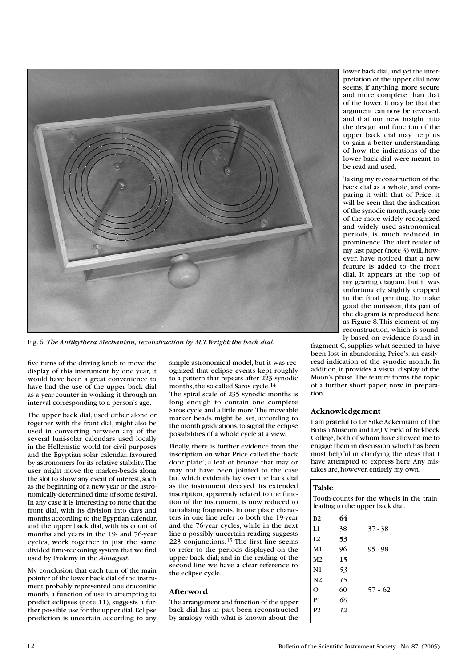

Fig. 6 *The Antikythera Mechanism, reconstruction by M.T. Wright: the back dial.*

five turns of the driving knob to move the display of this instrument by one year, it would have been a great convenience to have had the use of the upper back dial as a year-counter in working it through an interval corresponding to a person's age.

The upper back dial, used either alone or together with the front dial, might also be used in converting between any of the several luni-solar calendars used locally in the Hellenistic world for civil purposes and the Egyptian solar calendar, favoured by astronomers for its relative stability. The user might move the marker-beads along the slot to show any event of interest, such as the beginning of a new year or the astronomically-determined time of some festival. In any case it is interesting to note that the front dial, with its division into days and months according to the Egyptian calendar, and the upper back dial, with its count of months and years in the 19- and 76-year cycles, work together in just the same divided time-reckoning system that we find used by Ptolemy in the *Almagest*.

My conclusion that each turn of the main pointer of the lower back dial of the instrument probably represented one draconitic month, a function of use in attempting to predict eclipses (note 11), suggests a further possible use for the upper dial. Eclipse prediction is uncertain according to any

simple astronomical model, but it was recognized that eclipse events kept roughly to a pattern that repeats after 223 synodic months, the so-called Saros cycle.14 The spiral scale of 235 synodic months is long enough to contain one complete Saros cycle and a little more. The moveable marker beads might be set, according to the month graduations, to signal the eclipse possibilities of a whole cycle at a view.

Finally, there is further evidence from the inscription on what Price called the 'back door plate', a leaf of bronze that may or may not have been jointed to the case but which evidently lay over the back dial as the instrument decayed. Its extended inscription, apparently related to the function of the instrument, is now reduced to tantalising fragments. In one place characters in one line refer to both the 19-year and the 76-year cycles, while in the next line a possibly uncertain reading suggests 223 conjunctions.<sup>15</sup> The first line seems to refer to the periods displayed on the upper back dial; and in the reading of the second line we have a clear reference to the eclipse cycle.

## **Afterword**

The arrangement and function of the upper back dial has in part been reconstructed by analogy with what is known about the lower back dial, and yet the interpretation of the upper dial now seems, if anything, more secure and more complete than that of the lower. It may be that the argument can now be reversed, and that our new insight into the design and function of the upper back dial may help us to gain a better understanding of how the indications of the lower back dial were meant to be read and used.

Taking my reconstruction of the back dial as a whole, and comparing it with that of Price, it will be seen that the indication of the synodic month, surely one of the more widely recognized and widely used astronomical periods, is much reduced in prominence. The alert reader of my last paper (note 3) will, however, have noticed that a new feature is added to the front dial. It appears at the top of my gearing diagram, but it was unfortunately slightly cropped in the final printing. To make good the omission, this part of the diagram is reproduced here as Figure 8. This element of my reconstruction, which is sound-

ly based on evidence found in fragment C, supplies what seemed to have been lost in abandoning Price's: an easilyread indication of the synodic month. In addition, it provides a visual display of the Moon's phase. The feature forms the topic of a further short paper, now in preparation.

### **Acknowledgement**

I am grateful to Dr Silke Ackermann of The British Museum and Dr J.V. Field of Birkbeck College, both of whom have allowed me to engage them in discussion which has been most helpful in clarifying the ideas that I have attempted to express here. Any mistakes are, however, entirely my own.

### **Table**

Tooth-counts for the wheels in the train leading to the upper back dial.

| B2             | 64 |           |
|----------------|----|-----------|
| L1             | 38 | $37 - 38$ |
| L2             | 53 |           |
| M1             | 96 | $95 - 98$ |
| M2             | 15 |           |
| N1             | 53 |           |
| N2             | 15 |           |
| O              | 60 | $57 - 62$ |
| P1             | 60 |           |
| P <sub>2</sub> | 12 |           |
|                |    |           |